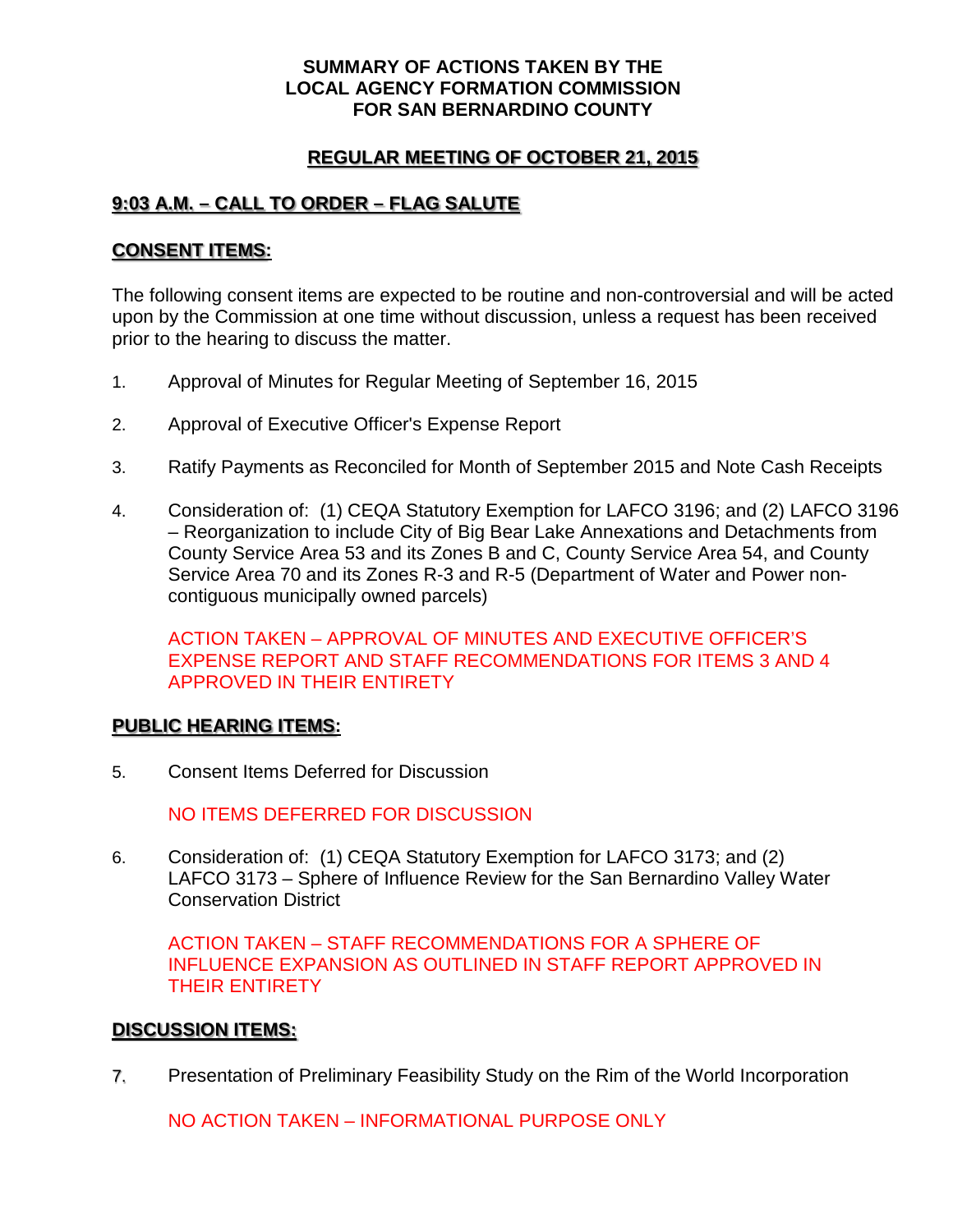#### **SUMMARY OF ACTIONS TAKEN BY THE LOCAL AGENCY FORMATION COMMISSION FOR SAN BERNARDINO COUNTY**

## **REGULAR MEETING OF OCTOBER 21, 2015**

# **9:03 A.M. – CALL TO ORDER – FLAG SALUTE**

### **CONSENT ITEMS:**

The following consent items are expected to be routine and non-controversial and will be acted upon by the Commission at one time without discussion, unless a request has been received prior to the hearing to discuss the matter.

- 1. Approval of Minutes for Regular Meeting of September 16, 2015
- 2. Approval of Executive Officer's Expense Report
- 3. Ratify Payments as Reconciled for Month of September 2015 and Note Cash Receipts
- 4. Consideration of: (1) CEQA Statutory Exemption for LAFCO 3196; and (2) LAFCO 3196 – Reorganization to include City of Big Bear Lake Annexations and Detachments from County Service Area 53 and its Zones B and C, County Service Area 54, and County Service Area 70 and its Zones R-3 and R-5 (Department of Water and Power noncontiguous municipally owned parcels)

ACTION TAKEN – APPROVAL OF MINUTES AND EXECUTIVE OFFICER'S EXPENSE REPORT AND STAFF RECOMMENDATIONS FOR ITEMS 3 AND 4 APPROVED IN THEIR ENTIRETY

#### **PUBLIC HEARING ITEMS:**

5. Consent Items Deferred for Discussion

NO ITEMS DEFERRED FOR DISCUSSION

6. Consideration of: (1) CEQA Statutory Exemption for LAFCO 3173; and (2) LAFCO 3173 – Sphere of Influence Review for the San Bernardino Valley Water Conservation District

ACTION TAKEN – STAFF RECOMMENDATIONS FOR A SPHERE OF INFLUENCE EXPANSION AS OUTLINED IN STAFF REPORT APPROVED IN THEIR ENTIRETY

#### **DISCUSSION ITEMS:**

7. Presentation of Preliminary Feasibility Study on the Rim of the World Incorporation

NO ACTION TAKEN – INFORMATIONAL PURPOSE ONLY